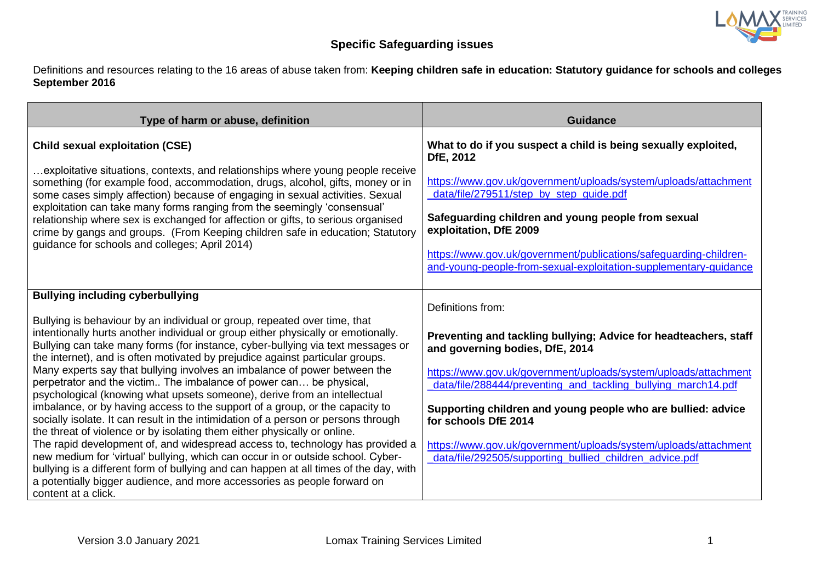

## **Specific Safeguarding issues**

Definitions and resources relating to the 16 areas of abuse taken from: **Keeping children safe in education: Statutory guidance for schools and colleges September 2016**

| Type of harm or abuse, definition                                                                                                                                                                                                                                                                                                                                                                                                                                                                                                                                                                                                                                                                                                                                                                                                                                                                                                                                                                                                                                                                                                                                                                                              | <b>Guidance</b>                                                                                                                                                                                                                                                                                                                                                                                                                                                                    |
|--------------------------------------------------------------------------------------------------------------------------------------------------------------------------------------------------------------------------------------------------------------------------------------------------------------------------------------------------------------------------------------------------------------------------------------------------------------------------------------------------------------------------------------------------------------------------------------------------------------------------------------------------------------------------------------------------------------------------------------------------------------------------------------------------------------------------------------------------------------------------------------------------------------------------------------------------------------------------------------------------------------------------------------------------------------------------------------------------------------------------------------------------------------------------------------------------------------------------------|------------------------------------------------------------------------------------------------------------------------------------------------------------------------------------------------------------------------------------------------------------------------------------------------------------------------------------------------------------------------------------------------------------------------------------------------------------------------------------|
| <b>Child sexual exploitation (CSE)</b><br>exploitative situations, contexts, and relationships where young people receive<br>something (for example food, accommodation, drugs, alcohol, gifts, money or in<br>some cases simply affection) because of engaging in sexual activities. Sexual<br>exploitation can take many forms ranging from the seemingly 'consensual'<br>relationship where sex is exchanged for affection or gifts, to serious organised<br>crime by gangs and groups. (From Keeping children safe in education; Statutory<br>guidance for schools and colleges; April 2014)                                                                                                                                                                                                                                                                                                                                                                                                                                                                                                                                                                                                                               | What to do if you suspect a child is being sexually exploited,<br>DfE, 2012<br>https://www.gov.uk/government/uploads/system/uploads/attachment<br>data/file/279511/step_by_step_guide.pdf<br>Safeguarding children and young people from sexual<br>exploitation, DfE 2009<br>https://www.gov.uk/government/publications/safeguarding-children-<br>and-young-people-from-sexual-exploitation-supplementary-quidance                                                                 |
| <b>Bullying including cyberbullying</b><br>Bullying is behaviour by an individual or group, repeated over time, that<br>intentionally hurts another individual or group either physically or emotionally.<br>Bullying can take many forms (for instance, cyber-bullying via text messages or<br>the internet), and is often motivated by prejudice against particular groups.<br>Many experts say that bullying involves an imbalance of power between the<br>perpetrator and the victim The imbalance of power can be physical,<br>psychological (knowing what upsets someone), derive from an intellectual<br>imbalance, or by having access to the support of a group, or the capacity to<br>socially isolate. It can result in the intimidation of a person or persons through<br>the threat of violence or by isolating them either physically or online.<br>The rapid development of, and widespread access to, technology has provided a<br>new medium for 'virtual' bullying, which can occur in or outside school. Cyber-<br>bullying is a different form of bullying and can happen at all times of the day, with<br>a potentially bigger audience, and more accessories as people forward on<br>content at a click. | Definitions from:<br>Preventing and tackling bullying; Advice for headteachers, staff<br>and governing bodies, DfE, 2014<br>https://www.gov.uk/government/uploads/system/uploads/attachment<br>data/file/288444/preventing and tackling bullying march14.pdf<br>Supporting children and young people who are bullied: advice<br>for schools DfE 2014<br>https://www.gov.uk/government/uploads/system/uploads/attachment<br>data/file/292505/supporting_bullied_children_advice.pdf |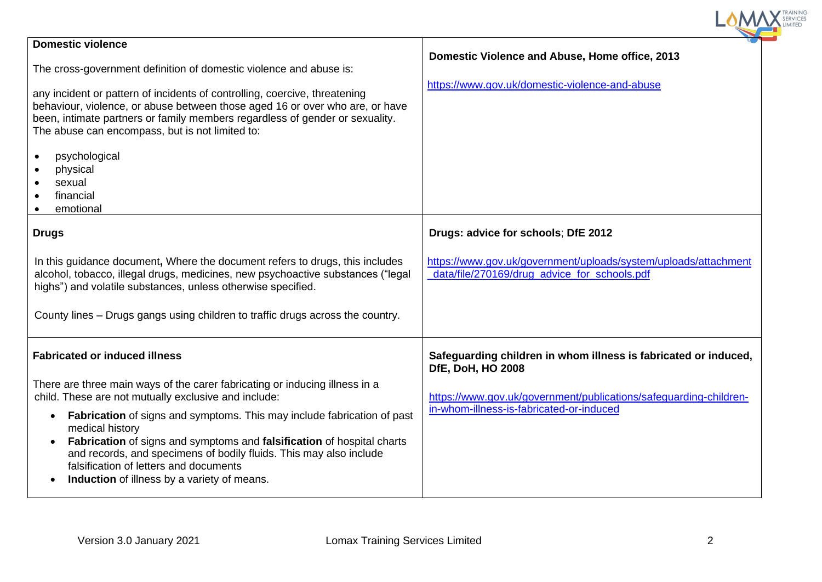| <b>Domestic violence</b>                                                                                                                                                                                                                                                                                                                                             | Domestic Violence and Abuse, Home office, 2013                                                                  |
|----------------------------------------------------------------------------------------------------------------------------------------------------------------------------------------------------------------------------------------------------------------------------------------------------------------------------------------------------------------------|-----------------------------------------------------------------------------------------------------------------|
| The cross-government definition of domestic violence and abuse is:                                                                                                                                                                                                                                                                                                   | https://www.gov.uk/domestic-violence-and-abuse                                                                  |
| any incident or pattern of incidents of controlling, coercive, threatening<br>behaviour, violence, or abuse between those aged 16 or over who are, or have<br>been, intimate partners or family members regardless of gender or sexuality.<br>The abuse can encompass, but is not limited to:                                                                        |                                                                                                                 |
| psychological<br>$\bullet$<br>physical                                                                                                                                                                                                                                                                                                                               |                                                                                                                 |
| sexual<br>financial                                                                                                                                                                                                                                                                                                                                                  |                                                                                                                 |
| emotional                                                                                                                                                                                                                                                                                                                                                            |                                                                                                                 |
| <b>Drugs</b>                                                                                                                                                                                                                                                                                                                                                         | Drugs: advice for schools; DfE 2012                                                                             |
| In this guidance document, Where the document refers to drugs, this includes<br>alcohol, tobacco, illegal drugs, medicines, new psychoactive substances ("legal<br>highs") and volatile substances, unless otherwise specified.                                                                                                                                      | https://www.gov.uk/government/uploads/system/uploads/attachment<br>data/file/270169/drug_advice_for_schools.pdf |
| County lines – Drugs gangs using children to traffic drugs across the country.                                                                                                                                                                                                                                                                                       |                                                                                                                 |
| <b>Fabricated or induced illness</b>                                                                                                                                                                                                                                                                                                                                 | Safeguarding children in whom illness is fabricated or induced,<br><b>DfE, DoH, HO 2008</b>                     |
| There are three main ways of the carer fabricating or inducing illness in a<br>child. These are not mutually exclusive and include:                                                                                                                                                                                                                                  | https://www.gov.uk/government/publications/safeguarding-children-                                               |
| <b>Fabrication</b> of signs and symptoms. This may include fabrication of past<br>$\bullet$<br>medical history<br>Fabrication of signs and symptoms and falsification of hospital charts<br>$\bullet$<br>and records, and specimens of bodily fluids. This may also include<br>falsification of letters and documents<br>Induction of illness by a variety of means. | in-whom-illness-is-fabricated-or-induced                                                                        |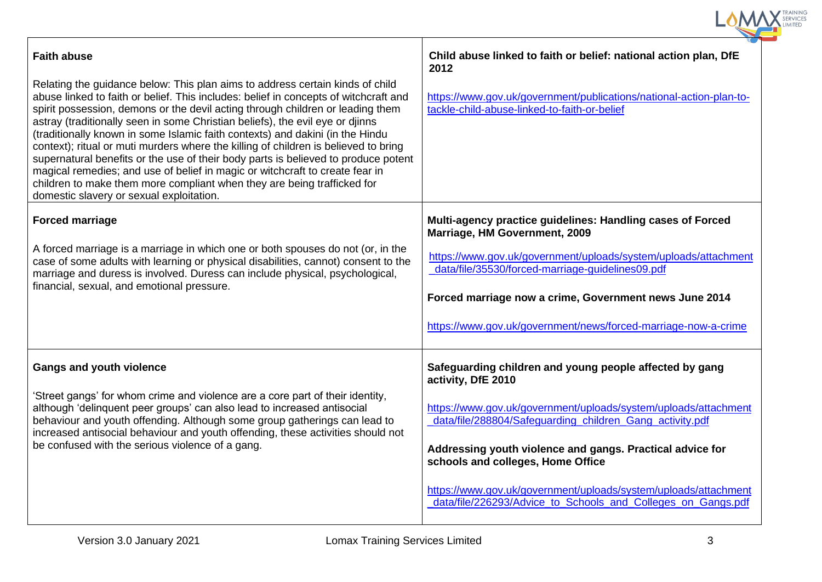| Child abuse linked to faith or belief: national action plan, DfE<br>2012                                                                                                                                                                                                                                                                                                                                                                          |
|---------------------------------------------------------------------------------------------------------------------------------------------------------------------------------------------------------------------------------------------------------------------------------------------------------------------------------------------------------------------------------------------------------------------------------------------------|
| https://www.gov.uk/government/publications/national-action-plan-to-<br>tackle-child-abuse-linked-to-faith-or-belief                                                                                                                                                                                                                                                                                                                               |
| Multi-agency practice guidelines: Handling cases of Forced<br>Marriage, HM Government, 2009                                                                                                                                                                                                                                                                                                                                                       |
| https://www.gov.uk/government/uploads/system/uploads/attachment<br>data/file/35530/forced-marriage-guidelines09.pdf<br>Forced marriage now a crime, Government news June 2014                                                                                                                                                                                                                                                                     |
| https://www.gov.uk/government/news/forced-marriage-now-a-crime                                                                                                                                                                                                                                                                                                                                                                                    |
| Safeguarding children and young people affected by gang<br>activity, DfE 2010<br>https://www.gov.uk/government/uploads/system/uploads/attachment<br>data/file/288804/Safeguarding_children_Gang_activity.pdf<br>Addressing youth violence and gangs. Practical advice for<br>schools and colleges, Home Office<br>https://www.gov.uk/government/uploads/system/uploads/attachment<br>data/file/226293/Advice_to_Schools_and_Colleges_on_Gangs.pdf |
|                                                                                                                                                                                                                                                                                                                                                                                                                                                   |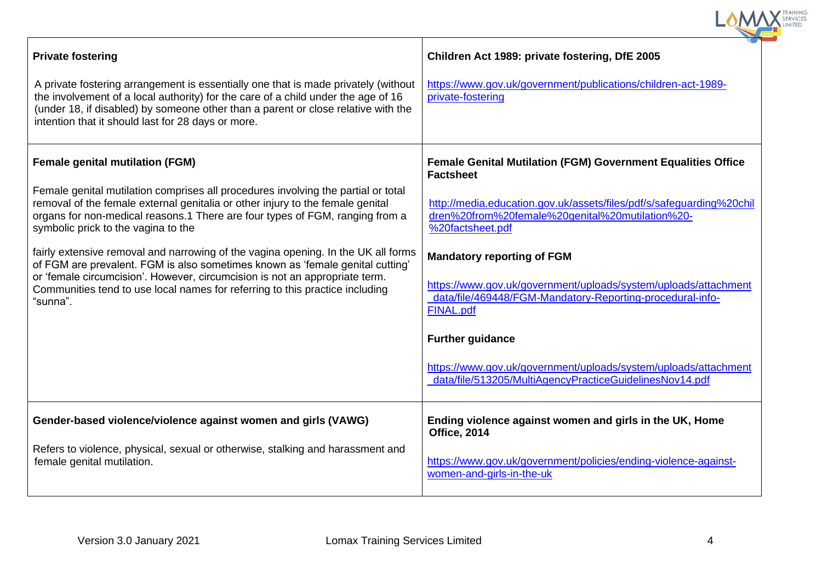| <b>Private fostering</b>                                                                                                                                                                                                                                                                                                                      | Children Act 1989: private fostering, DfE 2005                                                                                                   |
|-----------------------------------------------------------------------------------------------------------------------------------------------------------------------------------------------------------------------------------------------------------------------------------------------------------------------------------------------|--------------------------------------------------------------------------------------------------------------------------------------------------|
| A private fostering arrangement is essentially one that is made privately (without<br>the involvement of a local authority) for the care of a child under the age of 16<br>(under 18, if disabled) by someone other than a parent or close relative with the<br>intention that it should last for 28 days or more.                            | https://www.gov.uk/government/publications/children-act-1989-<br>private-fostering                                                               |
| <b>Female genital mutilation (FGM)</b>                                                                                                                                                                                                                                                                                                        | <b>Female Genital Mutilation (FGM) Government Equalities Office</b><br><b>Factsheet</b>                                                          |
| Female genital mutilation comprises all procedures involving the partial or total<br>removal of the female external genitalia or other injury to the female genital<br>organs for non-medical reasons.1 There are four types of FGM, ranging from a<br>symbolic prick to the vagina to the                                                    | http://media.education.gov.uk/assets/files/pdf/s/safeguarding%20chil<br>dren%20from%20female%20genital%20mutilation%20-<br>%20factsheet.pdf      |
| fairly extensive removal and narrowing of the vagina opening. In the UK all forms<br>of FGM are prevalent. FGM is also sometimes known as 'female genital cutting'<br>or 'female circumcision'. However, circumcision is not an appropriate term.<br>Communities tend to use local names for referring to this practice including<br>"sunna". | <b>Mandatory reporting of FGM</b>                                                                                                                |
|                                                                                                                                                                                                                                                                                                                                               | https://www.gov.uk/government/uploads/system/uploads/attachment<br>data/file/469448/FGM-Mandatory-Reporting-procedural-info-<br><b>FINAL.pdf</b> |
|                                                                                                                                                                                                                                                                                                                                               | <b>Further guidance</b>                                                                                                                          |
|                                                                                                                                                                                                                                                                                                                                               | https://www.gov.uk/government/uploads/system/uploads/attachment<br>data/file/513205/MultiAgencyPracticeGuidelinesNov14.pdf                       |
| Gender-based violence/violence against women and girls (VAWG)                                                                                                                                                                                                                                                                                 | Ending violence against women and girls in the UK, Home<br><b>Office, 2014</b>                                                                   |
| Refers to violence, physical, sexual or otherwise, stalking and harassment and<br>female genital mutilation.                                                                                                                                                                                                                                  | https://www.gov.uk/government/policies/ending-violence-against-<br>women-and-girls-in-the-uk                                                     |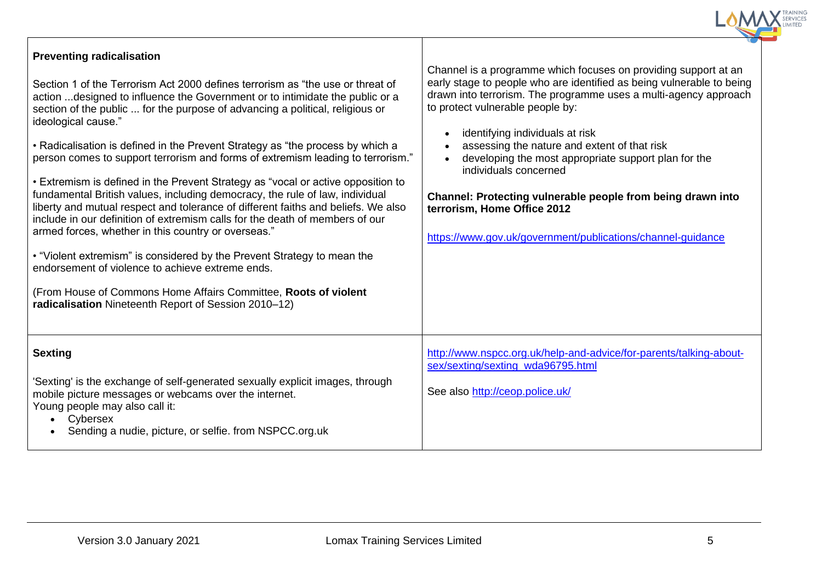| <b>Preventing radicalisation</b><br>Section 1 of the Terrorism Act 2000 defines terrorism as "the use or threat of<br>action  designed to influence the Government or to intimidate the public or a<br>section of the public  for the purpose of advancing a political, religious or<br>ideological cause."<br>• Radicalisation is defined in the Prevent Strategy as "the process by which a<br>person comes to support terrorism and forms of extremism leading to terrorism."<br>• Extremism is defined in the Prevent Strategy as "vocal or active opposition to<br>fundamental British values, including democracy, the rule of law, individual<br>liberty and mutual respect and tolerance of different faiths and beliefs. We also<br>include in our definition of extremism calls for the death of members of our<br>armed forces, whether in this country or overseas."<br>• "Violent extremism" is considered by the Prevent Strategy to mean the<br>endorsement of violence to achieve extreme ends.<br>(From House of Commons Home Affairs Committee, Roots of violent<br>radicalisation Nineteenth Report of Session 2010-12) | Channel is a programme which focuses on providing support at an<br>early stage to people who are identified as being vulnerable to being<br>drawn into terrorism. The programme uses a multi-agency approach<br>to protect vulnerable people by:<br>identifying individuals at risk<br>assessing the nature and extent of that risk<br>developing the most appropriate support plan for the<br>individuals concerned<br>Channel: Protecting vulnerable people from being drawn into<br>terrorism, Home Office 2012<br>https://www.gov.uk/government/publications/channel-guidance |
|--------------------------------------------------------------------------------------------------------------------------------------------------------------------------------------------------------------------------------------------------------------------------------------------------------------------------------------------------------------------------------------------------------------------------------------------------------------------------------------------------------------------------------------------------------------------------------------------------------------------------------------------------------------------------------------------------------------------------------------------------------------------------------------------------------------------------------------------------------------------------------------------------------------------------------------------------------------------------------------------------------------------------------------------------------------------------------------------------------------------------------------------|-----------------------------------------------------------------------------------------------------------------------------------------------------------------------------------------------------------------------------------------------------------------------------------------------------------------------------------------------------------------------------------------------------------------------------------------------------------------------------------------------------------------------------------------------------------------------------------|
| <b>Sexting</b><br>'Sexting' is the exchange of self-generated sexually explicit images, through<br>mobile picture messages or webcams over the internet.<br>Young people may also call it:<br>Cybersex<br>Sending a nudie, picture, or selfie. from NSPCC.org.uk                                                                                                                                                                                                                                                                                                                                                                                                                                                                                                                                                                                                                                                                                                                                                                                                                                                                           | http://www.nspcc.org.uk/help-and-advice/for-parents/talking-about-<br>sex/sexting/sexting wda96795.html<br>See also http://ceop.police.uk/                                                                                                                                                                                                                                                                                                                                                                                                                                        |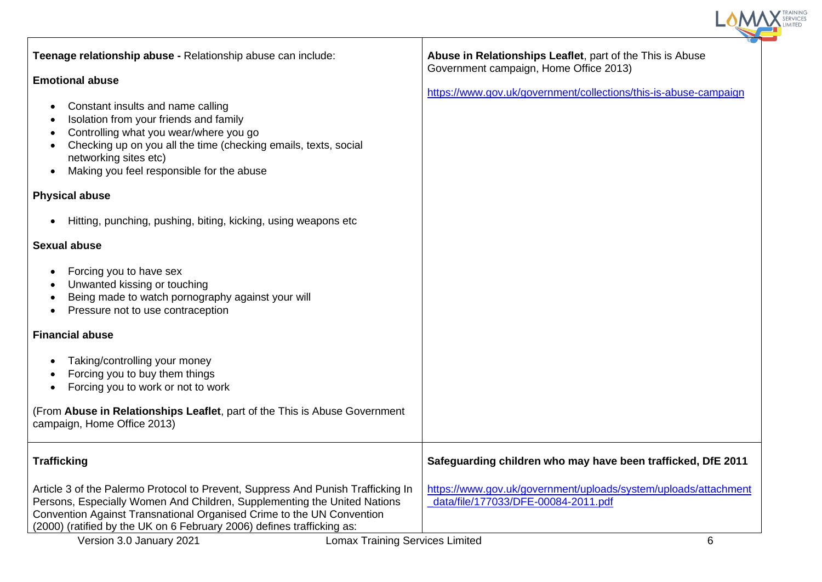| Teenage relationship abuse - Relationship abuse can include:                                                                                                                                                                                                                                                    | Abuse in Relationships Leaflet, part of the This is Abuse<br>Government campaign, Home Office 2013)    |
|-----------------------------------------------------------------------------------------------------------------------------------------------------------------------------------------------------------------------------------------------------------------------------------------------------------------|--------------------------------------------------------------------------------------------------------|
| <b>Emotional abuse</b>                                                                                                                                                                                                                                                                                          |                                                                                                        |
| Constant insults and name calling<br>$\bullet$<br>Isolation from your friends and family<br>Controlling what you wear/where you go<br>Checking up on you all the time (checking emails, texts, social<br>networking sites etc)<br>Making you feel responsible for the abuse<br>$\bullet$                        | https://www.gov.uk/government/collections/this-is-abuse-campaign                                       |
| <b>Physical abuse</b>                                                                                                                                                                                                                                                                                           |                                                                                                        |
| Hitting, punching, pushing, biting, kicking, using weapons etc<br>$\bullet$                                                                                                                                                                                                                                     |                                                                                                        |
| <b>Sexual abuse</b>                                                                                                                                                                                                                                                                                             |                                                                                                        |
| Forcing you to have sex<br>Unwanted kissing or touching<br>Being made to watch pornography against your will<br>Pressure not to use contraception                                                                                                                                                               |                                                                                                        |
| <b>Financial abuse</b>                                                                                                                                                                                                                                                                                          |                                                                                                        |
| Taking/controlling your money<br>Forcing you to buy them things<br>Forcing you to work or not to work                                                                                                                                                                                                           |                                                                                                        |
| (From Abuse in Relationships Leaflet, part of the This is Abuse Government<br>campaign, Home Office 2013)                                                                                                                                                                                                       |                                                                                                        |
| <b>Trafficking</b>                                                                                                                                                                                                                                                                                              | Safeguarding children who may have been trafficked, DfE 2011                                           |
| Article 3 of the Palermo Protocol to Prevent, Suppress And Punish Trafficking In<br>Persons, Especially Women And Children, Supplementing the United Nations<br>Convention Against Transnational Organised Crime to the UN Convention<br>(2000) (ratified by the UK on 6 February 2006) defines trafficking as: | https://www.gov.uk/government/uploads/system/uploads/attachment<br>data/file/177033/DFE-00084-2011.pdf |
| Version 3.0 January 2021<br><b>Lomax Training Services Limited</b>                                                                                                                                                                                                                                              | 6                                                                                                      |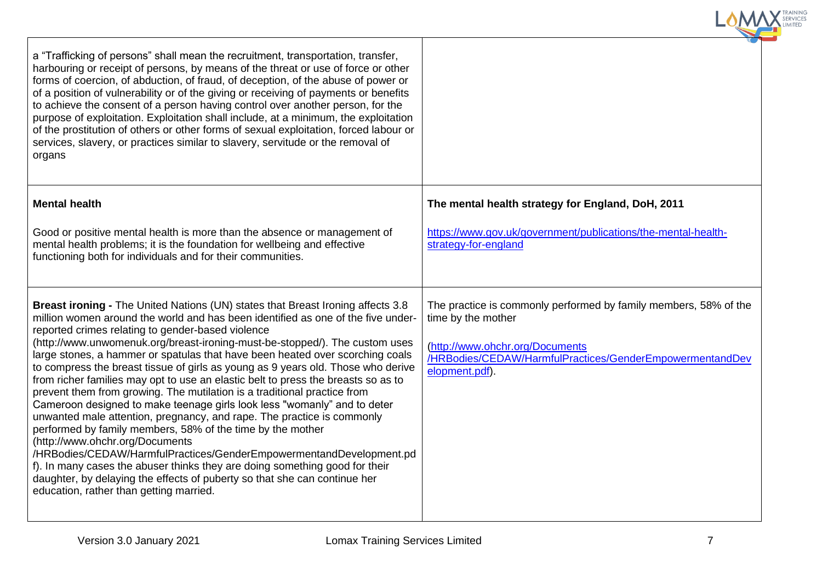| a "Trafficking of persons" shall mean the recruitment, transportation, transfer,<br>harbouring or receipt of persons, by means of the threat or use of force or other<br>forms of coercion, of abduction, of fraud, of deception, of the abuse of power or<br>of a position of vulnerability or of the giving or receiving of payments or benefits<br>to achieve the consent of a person having control over another person, for the<br>purpose of exploitation. Exploitation shall include, at a minimum, the exploitation<br>of the prostitution of others or other forms of sexual exploitation, forced labour or<br>services, slavery, or practices similar to slavery, servitude or the removal of<br>organs                                                                                                                                                                                                                                                                                                                                                                                                                                                                         |                                                                                                                                                                                                         |
|-------------------------------------------------------------------------------------------------------------------------------------------------------------------------------------------------------------------------------------------------------------------------------------------------------------------------------------------------------------------------------------------------------------------------------------------------------------------------------------------------------------------------------------------------------------------------------------------------------------------------------------------------------------------------------------------------------------------------------------------------------------------------------------------------------------------------------------------------------------------------------------------------------------------------------------------------------------------------------------------------------------------------------------------------------------------------------------------------------------------------------------------------------------------------------------------|---------------------------------------------------------------------------------------------------------------------------------------------------------------------------------------------------------|
| <b>Mental health</b>                                                                                                                                                                                                                                                                                                                                                                                                                                                                                                                                                                                                                                                                                                                                                                                                                                                                                                                                                                                                                                                                                                                                                                      | The mental health strategy for England, DoH, 2011                                                                                                                                                       |
| Good or positive mental health is more than the absence or management of<br>mental health problems; it is the foundation for wellbeing and effective<br>functioning both for individuals and for their communities.                                                                                                                                                                                                                                                                                                                                                                                                                                                                                                                                                                                                                                                                                                                                                                                                                                                                                                                                                                       | https://www.gov.uk/government/publications/the-mental-health-<br>strategy-for-england                                                                                                                   |
| <b>Breast ironing - The United Nations (UN) states that Breast Ironing affects 3.8</b><br>million women around the world and has been identified as one of the five under-<br>reported crimes relating to gender-based violence<br>(http://www.unwomenuk.org/breast-ironing-must-be-stopped/). The custom uses<br>large stones, a hammer or spatulas that have been heated over scorching coals<br>to compress the breast tissue of girls as young as 9 years old. Those who derive<br>from richer families may opt to use an elastic belt to press the breasts so as to<br>prevent them from growing. The mutilation is a traditional practice from<br>Cameroon designed to make teenage girls look less "womanly" and to deter<br>unwanted male attention, pregnancy, and rape. The practice is commonly<br>performed by family members, 58% of the time by the mother<br>(http://www.ohchr.org/Documents<br>/HRBodies/CEDAW/HarmfulPractices/GenderEmpowermentandDevelopment.pd<br>f). In many cases the abuser thinks they are doing something good for their<br>daughter, by delaying the effects of puberty so that she can continue her<br>education, rather than getting married. | The practice is commonly performed by family members, 58% of the<br>time by the mother<br>(http://www.ohchr.org/Documents<br>/HRBodies/CEDAW/HarmfulPractices/GenderEmpowermentandDev<br>elopment.pdf). |